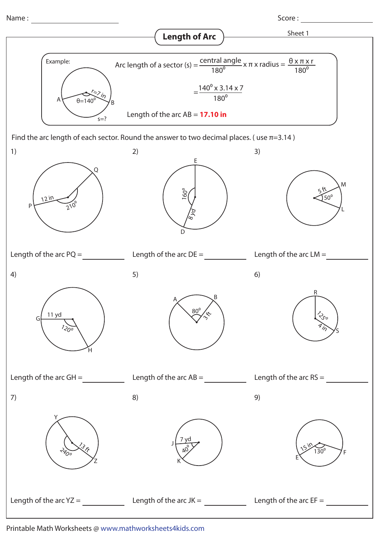